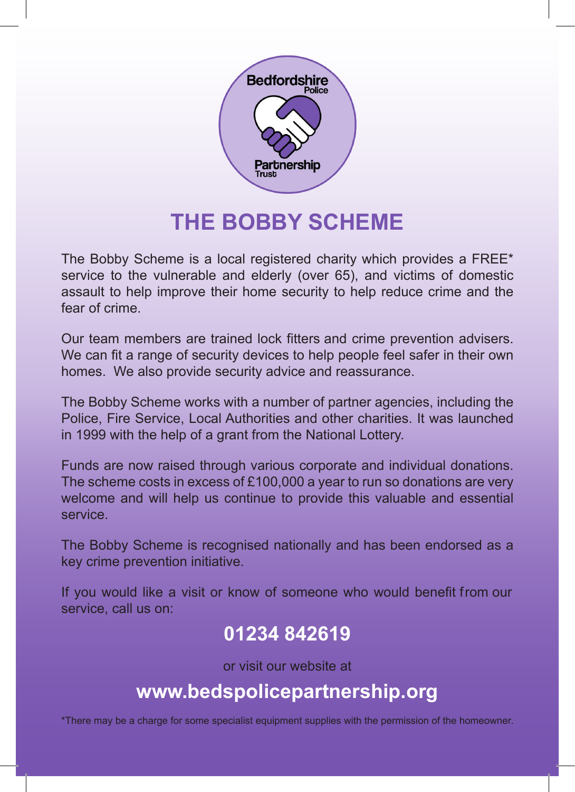

# **THE BOBBY SCHEME**

The Bobby Scheme is a local registered charity which provides a FREE\* service to the vulnerable and elderly (over 65), and victims of domestic assault to help improve their home security to help reduce crime and the fear of crime.

Our team members are trained lock fitters and crime prevention advisers. We can fit a range of security devices to help people feel safer in their own homes. We also provide security advice and reassurance.

The Bobby Scheme works with a number of partner agencies, including the Police, Fire Service, Local Authorities and other charities. It was launched in 1999 with the help of a grant from the National Lottery.

Funds are now raised through various corporate and individual donations. The scheme costs in excess of £100,000 a year to run so donations are very welcome and will help us continue to provide this valuable and essential service.

The Bobby Scheme is recognised nationally and has been endorsed as a key crime prevention initiative.

If you would like a visit or know of someone who would benefit from our service, call us on:

# **01234 842619**

or visit our website at

## **www.bedspolicepartnership.org**

\*There may be a charge for some specialist equipment supplies with the permission of the homeowner.